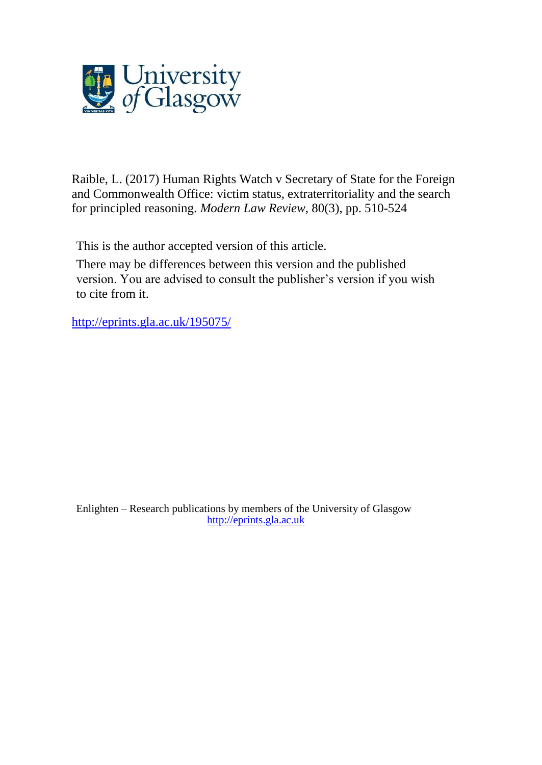

[Raible,](http://eprints.gla.ac.uk/view/author/51849.html) L. (2017) Human Rights Watch v Secretary of State for the Foreign and Commonwealth Office: victim status, extraterritoriality and the search for principled reasoning. *[Modern](http://eprints.gla.ac.uk/view/journal_volume/Modern_Law_Review.html) Law Review*, 80(3), pp. 510-524

This is the author accepted version of this article.

There may be differences between this version and the published version. You are advised to consult the publisher's version if you wish to cite from it.

<http://eprints.gla.ac.uk/195075/>

Enlighten – Research publications by members of the University of Glasgow [http://eprints.gla.ac.uk](http://eprints.gla.ac.uk/)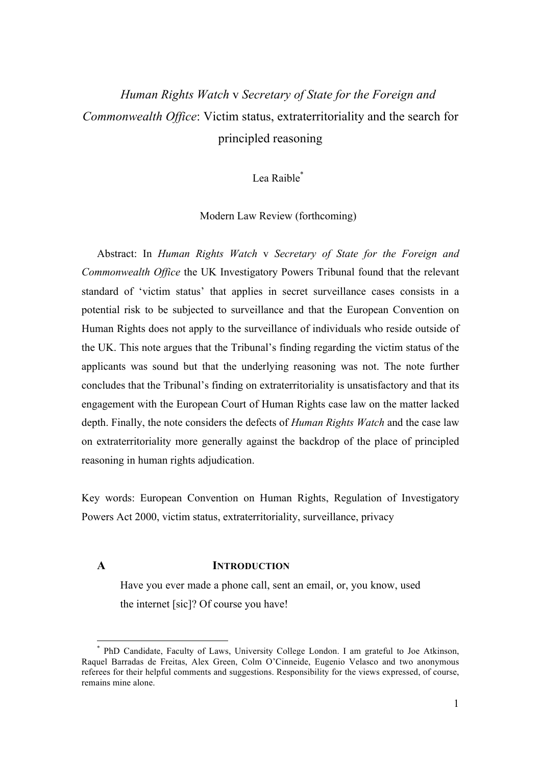# *Human Rights Watch* v *Secretary of State for the Foreign and Commonwealth Office*: Victim status, extraterritoriality and the search for principled reasoning

# Lea Raible\*

Modern Law Review (forthcoming)

Abstract: In *Human Rights Watch* v *Secretary of State for the Foreign and Commonwealth Office* the UK Investigatory Powers Tribunal found that the relevant standard of 'victim status' that applies in secret surveillance cases consists in a potential risk to be subjected to surveillance and that the European Convention on Human Rights does not apply to the surveillance of individuals who reside outside of the UK. This note argues that the Tribunal's finding regarding the victim status of the applicants was sound but that the underlying reasoning was not. The note further concludes that the Tribunal's finding on extraterritoriality is unsatisfactory and that its engagement with the European Court of Human Rights case law on the matter lacked depth. Finally, the note considers the defects of *Human Rights Watch* and the case law on extraterritoriality more generally against the backdrop of the place of principled reasoning in human rights adjudication.

Key words: European Convention on Human Rights, Regulation of Investigatory Powers Act 2000, victim status, extraterritoriality, surveillance, privacy

### **A INTRODUCTION**

Have you ever made a phone call, sent an email, or, you know, used the internet [sic]? Of course you have!

 <sup>\*</sup> PhD Candidate, Faculty of Laws, University College London. I am grateful to Joe Atkinson, Raquel Barradas de Freitas, Alex Green, Colm O'Cinneide, Eugenio Velasco and two anonymous referees for their helpful comments and suggestions. Responsibility for the views expressed, of course, remains mine alone.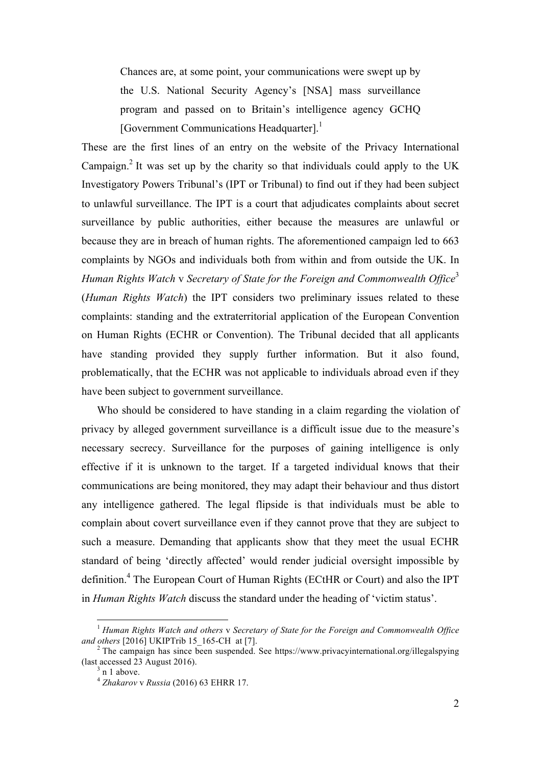Chances are, at some point, your communications were swept up by the U.S. National Security Agency's [NSA] mass surveillance program and passed on to Britain's intelligence agency GCHQ [Government Communications Headquarter].<sup>1</sup>

These are the first lines of an entry on the website of the Privacy International Campaign.<sup>2</sup> It was set up by the charity so that individuals could apply to the UK Investigatory Powers Tribunal's (IPT or Tribunal) to find out if they had been subject to unlawful surveillance. The IPT is a court that adjudicates complaints about secret surveillance by public authorities, either because the measures are unlawful or because they are in breach of human rights. The aforementioned campaign led to 663 complaints by NGOs and individuals both from within and from outside the UK. In *Human Rights Watch* v *Secretary of State for the Foreign and Commonwealth Office*<sup>3</sup> (*Human Rights Watch*) the IPT considers two preliminary issues related to these complaints: standing and the extraterritorial application of the European Convention on Human Rights (ECHR or Convention). The Tribunal decided that all applicants have standing provided they supply further information. But it also found, problematically, that the ECHR was not applicable to individuals abroad even if they have been subject to government surveillance.

Who should be considered to have standing in a claim regarding the violation of privacy by alleged government surveillance is a difficult issue due to the measure's necessary secrecy. Surveillance for the purposes of gaining intelligence is only effective if it is unknown to the target. If a targeted individual knows that their communications are being monitored, they may adapt their behaviour and thus distort any intelligence gathered. The legal flipside is that individuals must be able to complain about covert surveillance even if they cannot prove that they are subject to such a measure. Demanding that applicants show that they meet the usual ECHR standard of being 'directly affected' would render judicial oversight impossible by definition.<sup>4</sup> The European Court of Human Rights (ECtHR or Court) and also the IPT in *Human Rights Watch* discuss the standard under the heading of 'victim status'.

<sup>&</sup>lt;sup>1</sup> *Human Rights Watch and others* v *Secretary of State for the Foreign and Commonwealth Office and others* [2016] UKIPTrib 15 165-CH at [7].

<sup>&</sup>lt;sup>2</sup> The campaign has since been suspended. See https://www.privacyinternational.org/illegalspying (last accessed 23 August 2016).

<sup>&</sup>lt;sup>3</sup> n 1 above.<br><sup>4</sup> *Zhakarov v Russia* (2016) 63 EHRR 17.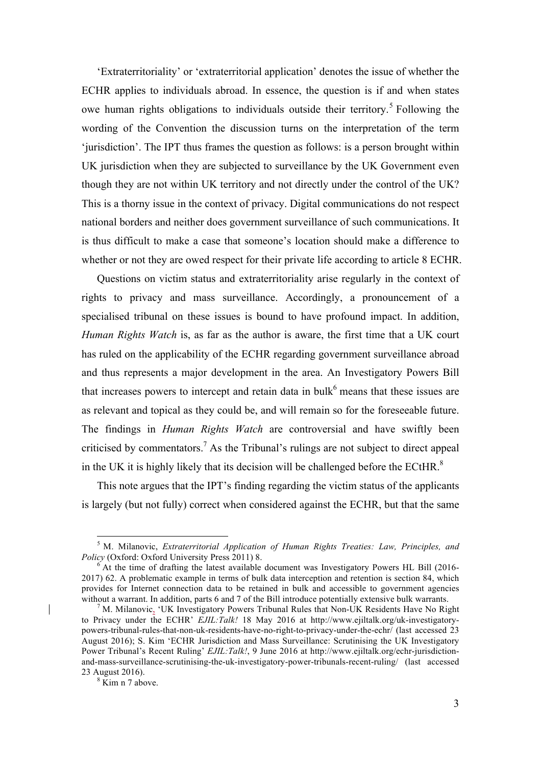'Extraterritoriality' or 'extraterritorial application' denotes the issue of whether the ECHR applies to individuals abroad. In essence, the question is if and when states owe human rights obligations to individuals outside their territory.<sup>5</sup> Following the wording of the Convention the discussion turns on the interpretation of the term 'jurisdiction'. The IPT thus frames the question as follows: is a person brought within UK jurisdiction when they are subjected to surveillance by the UK Government even though they are not within UK territory and not directly under the control of the UK? This is a thorny issue in the context of privacy. Digital communications do not respect national borders and neither does government surveillance of such communications. It is thus difficult to make a case that someone's location should make a difference to whether or not they are owed respect for their private life according to article 8 ECHR.

Questions on victim status and extraterritoriality arise regularly in the context of rights to privacy and mass surveillance. Accordingly, a pronouncement of a specialised tribunal on these issues is bound to have profound impact. In addition, *Human Rights Watch* is, as far as the author is aware, the first time that a UK court has ruled on the applicability of the ECHR regarding government surveillance abroad and thus represents a major development in the area. An Investigatory Powers Bill that increases powers to intercept and retain data in bulk $<sup>6</sup>$  means that these issues are</sup> as relevant and topical as they could be, and will remain so for the foreseeable future. The findings in *Human Rights Watch* are controversial and have swiftly been criticised by commentators.<sup>7</sup> As the Tribunal's rulings are not subject to direct appeal in the UK it is highly likely that its decision will be challenged before the ECtHR. $8$ 

This note argues that the IPT's finding regarding the victim status of the applicants is largely (but not fully) correct when considered against the ECHR, but that the same

<sup>&</sup>lt;sup>5</sup> M. Milanovic, *Extraterritorial Application of Human Rights Treaties: Law, Principles, and Policy* (Oxford: Oxford University Press 2011) 8.

 $<sup>6</sup>$  At the time of drafting the latest available document was Investigatory Powers HL Bill (2016-</sup> 2017) 62. A problematic example in terms of bulk data interception and retention is section 84, which provides for Internet connection data to be retained in bulk and accessible to government agencies without a warrant. In addition, parts 6 and 7 of the Bill introduce potentially extensive bulk warrants.<br><sup>7</sup> M. Milanovic, 'UK Investigatory Powers Tribunal Rules that Non-UK Residents Have No Right

to Privacy under the ECHR' *EJIL:Talk!* 18 May 2016 at http://www.ejiltalk.org/uk-investigatorypowers-tribunal-rules-that-non-uk-residents-have-no-right-to-privacy-under-the-echr/ (last accessed 23 August 2016); S. Kim 'ECHR Jurisdiction and Mass Surveillance: Scrutinising the UK Investigatory Power Tribunal's Recent Ruling' *EJIL:Talk!*, 9 June 2016 at http://www.ejiltalk.org/echr-jurisdictionand-mass-surveillance-scrutinising-the-uk-investigatory-power-tribunals-recent-ruling/ (last accessed 23 August 2016).<br> $8 \times 7 \times 10^{8}$  Kim n 7 above.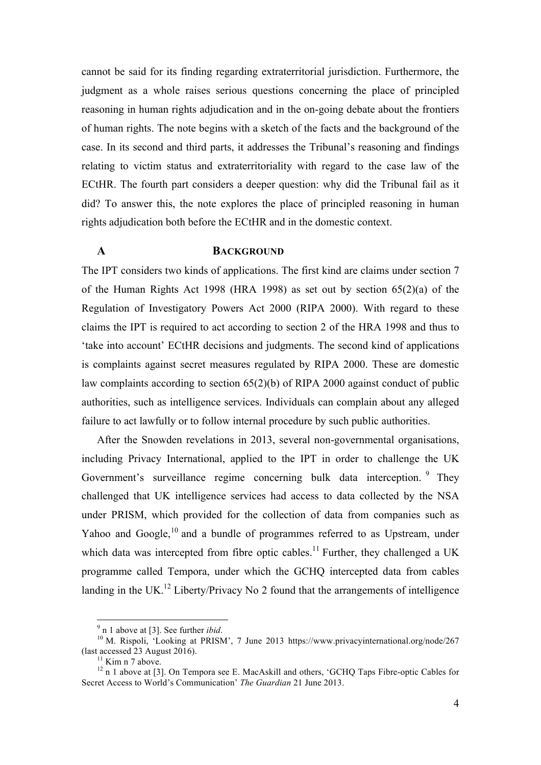cannot be said for its finding regarding extraterritorial jurisdiction. Furthermore, the judgment as a whole raises serious questions concerning the place of principled reasoning in human rights adjudication and in the on-going debate about the frontiers of human rights. The note begins with a sketch of the facts and the background of the case. In its second and third parts, it addresses the Tribunal's reasoning and findings relating to victim status and extraterritoriality with regard to the case law of the ECtHR. The fourth part considers a deeper question: why did the Tribunal fail as it did? To answer this, the note explores the place of principled reasoning in human rights adjudication both before the ECtHR and in the domestic context.

# **A BACKGROUND**

The IPT considers two kinds of applications. The first kind are claims under section 7 of the Human Rights Act 1998 (HRA 1998) as set out by section 65(2)(a) of the Regulation of Investigatory Powers Act 2000 (RIPA 2000). With regard to these claims the IPT is required to act according to section 2 of the HRA 1998 and thus to 'take into account' ECtHR decisions and judgments. The second kind of applications is complaints against secret measures regulated by RIPA 2000. These are domestic law complaints according to section 65(2)(b) of RIPA 2000 against conduct of public authorities, such as intelligence services. Individuals can complain about any alleged failure to act lawfully or to follow internal procedure by such public authorities.

After the Snowden revelations in 2013, several non-governmental organisations, including Privacy International, applied to the IPT in order to challenge the UK Government's surveillance regime concerning bulk data interception. <sup>9</sup> They challenged that UK intelligence services had access to data collected by the NSA under PRISM, which provided for the collection of data from companies such as Yahoo and Google, $10$  and a bundle of programmes referred to as Upstream, under which data was intercepted from fibre optic cables.<sup>11</sup> Further, they challenged a UK programme called Tempora, under which the GCHQ intercepted data from cables landing in the UK.<sup>12</sup> Liberty/Privacy No 2 found that the arrangements of intelligence

<sup>&</sup>lt;sup>9</sup> n 1 above at [3]. See further *ibid*.<br><sup>10</sup> M. Rispoli, 'Looking at PRISM', 7 June 2013 https://www.privacyinternational.org/node/267<br>(last accessed 23 August 2016).

<sup>&</sup>lt;sup>11</sup> Kim n 7 above.<br><sup>12</sup> n 1 above at [3]. On Tempora see E. MacAskill and others, 'GCHQ Taps Fibre-optic Cables for Secret Access to World's Communication' *The Guardian* 21 June 2013.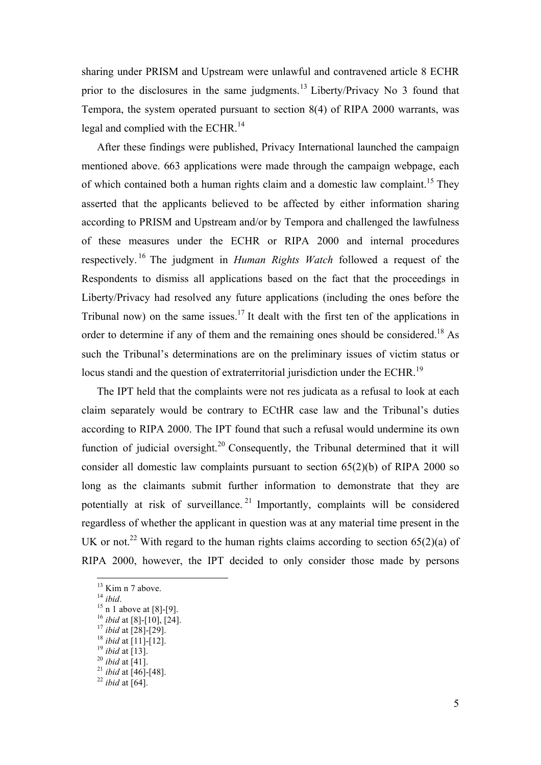sharing under PRISM and Upstream were unlawful and contravened article 8 ECHR prior to the disclosures in the same judgments.<sup>13</sup> Liberty/Privacy No 3 found that Tempora, the system operated pursuant to section 8(4) of RIPA 2000 warrants, was legal and complied with the ECHR.<sup>14</sup>

After these findings were published, Privacy International launched the campaign mentioned above. 663 applications were made through the campaign webpage, each of which contained both a human rights claim and a domestic law complaint.<sup>15</sup> They asserted that the applicants believed to be affected by either information sharing according to PRISM and Upstream and/or by Tempora and challenged the lawfulness of these measures under the ECHR or RIPA 2000 and internal procedures respectively. <sup>16</sup> The judgment in *Human Rights Watch* followed a request of the Respondents to dismiss all applications based on the fact that the proceedings in Liberty/Privacy had resolved any future applications (including the ones before the Tribunal now) on the same issues.<sup>17</sup> It dealt with the first ten of the applications in order to determine if any of them and the remaining ones should be considered.<sup>18</sup> As such the Tribunal's determinations are on the preliminary issues of victim status or locus standi and the question of extraterritorial jurisdiction under the ECHR.<sup>19</sup>

The IPT held that the complaints were not res judicata as a refusal to look at each claim separately would be contrary to ECtHR case law and the Tribunal's duties according to RIPA 2000. The IPT found that such a refusal would undermine its own function of judicial oversight.<sup>20</sup> Consequently, the Tribunal determined that it will consider all domestic law complaints pursuant to section 65(2)(b) of RIPA 2000 so long as the claimants submit further information to demonstrate that they are potentially at risk of surveillance. <sup>21</sup> Importantly, complaints will be considered regardless of whether the applicant in question was at any material time present in the UK or not.<sup>22</sup> With regard to the human rights claims according to section 65(2)(a) of RIPA 2000, however, the IPT decided to only consider those made by persons

<sup>&</sup>lt;sup>13</sup> Kim n 7 above.<br><sup>14</sup> *ibid*.<br><sup>15</sup> n 1 above at [8]-[9].<br><sup>15</sup> *ibid* at [8]-[10], [24].<br><sup>17</sup> *ibid* at [28]-[29].<br><sup>18</sup> *ibid* at [11]-[12].<br><sup>20</sup> *ibid* at [13].<br><sup>21</sup> *ibid* at [41].<br><sup>21</sup> *ibid* at [46]-[48].<br><sup>22</sup> *ibid*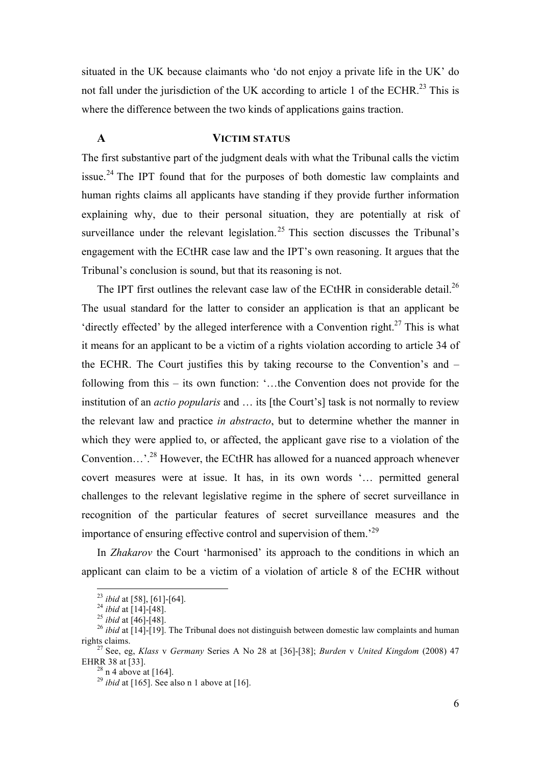situated in the UK because claimants who 'do not enjoy a private life in the UK' do not fall under the jurisdiction of the UK according to article 1 of the ECHR.<sup>23</sup> This is where the difference between the two kinds of applications gains traction.

# **A VICTIM STATUS**

The first substantive part of the judgment deals with what the Tribunal calls the victim issue.<sup>24</sup> The IPT found that for the purposes of both domestic law complaints and human rights claims all applicants have standing if they provide further information explaining why, due to their personal situation, they are potentially at risk of surveillance under the relevant legislation.<sup>25</sup> This section discusses the Tribunal's engagement with the ECtHR case law and the IPT's own reasoning. It argues that the Tribunal's conclusion is sound, but that its reasoning is not.

The IPT first outlines the relevant case law of the ECtHR in considerable detail.<sup>26</sup> The usual standard for the latter to consider an application is that an applicant be 'directly effected' by the alleged interference with a Convention right.<sup>27</sup> This is what it means for an applicant to be a victim of a rights violation according to article 34 of the ECHR. The Court justifies this by taking recourse to the Convention's and – following from this – its own function: '…the Convention does not provide for the institution of an *actio popularis* and … its [the Court's] task is not normally to review the relevant law and practice *in abstracto*, but to determine whether the manner in which they were applied to, or affected, the applicant gave rise to a violation of the Convention…'.28 However, the ECtHR has allowed for a nuanced approach whenever covert measures were at issue. It has, in its own words '… permitted general challenges to the relevant legislative regime in the sphere of secret surveillance in recognition of the particular features of secret surveillance measures and the importance of ensuring effective control and supervision of them.<sup>29</sup>

In *Zhakarov* the Court 'harmonised' its approach to the conditions in which an applicant can claim to be a victim of a violation of article 8 of the ECHR without

<sup>&</sup>lt;sup>23</sup> *ibid* at [58], [61]-[64].<br><sup>24</sup> *ibid* at [14]-[48].<br><sup>25</sup> *ibid* at [46]-[48].<br><sup>26</sup> *ibid* at [14]-[19]. The Tribunal does not distinguish between domestic law complaints and human rights claims.

<sup>&</sup>lt;sup>27</sup> See, eg, *Klass v Germany* Series A No 28 at [36]-[38]; *Burden v United Kingdom* (2008) 47 EHRR 38 at [33].

 $\frac{^{28}}{^{29}}$  n 4 above at [164].<br><sup>29</sup> *ibid* at [165]. See also n 1 above at [16].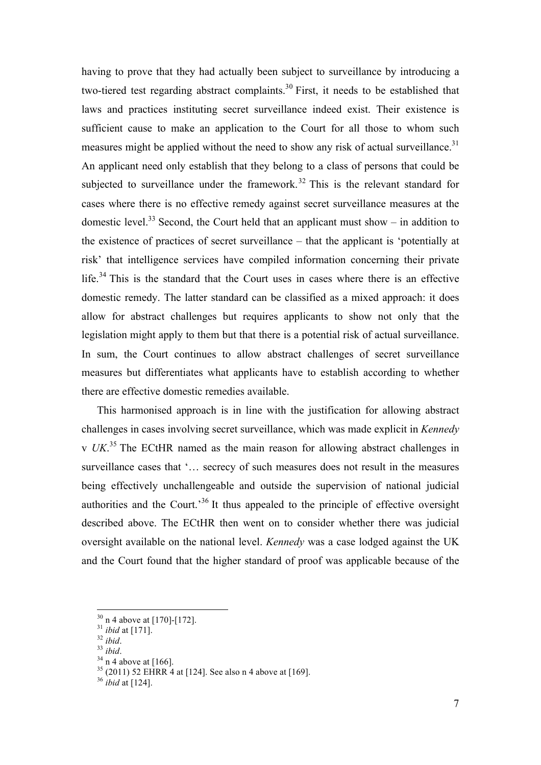having to prove that they had actually been subject to surveillance by introducing a two-tiered test regarding abstract complaints.<sup>30</sup> First, it needs to be established that laws and practices instituting secret surveillance indeed exist. Their existence is sufficient cause to make an application to the Court for all those to whom such measures might be applied without the need to show any risk of actual surveillance.<sup>31</sup> An applicant need only establish that they belong to a class of persons that could be subjected to surveillance under the framework.<sup>32</sup> This is the relevant standard for cases where there is no effective remedy against secret surveillance measures at the domestic level.<sup>33</sup> Second, the Court held that an applicant must show – in addition to the existence of practices of secret surveillance – that the applicant is 'potentially at risk' that intelligence services have compiled information concerning their private life.<sup>34</sup> This is the standard that the Court uses in cases where there is an effective domestic remedy. The latter standard can be classified as a mixed approach: it does allow for abstract challenges but requires applicants to show not only that the legislation might apply to them but that there is a potential risk of actual surveillance. In sum, the Court continues to allow abstract challenges of secret surveillance measures but differentiates what applicants have to establish according to whether there are effective domestic remedies available.

This harmonised approach is in line with the justification for allowing abstract challenges in cases involving secret surveillance, which was made explicit in *Kennedy*  v *UK*.<sup>35</sup> The ECtHR named as the main reason for allowing abstract challenges in surveillance cases that '… secrecy of such measures does not result in the measures being effectively unchallengeable and outside the supervision of national judicial authorities and the Court.<sup>36</sup> It thus appealed to the principle of effective oversight described above. The ECtHR then went on to consider whether there was judicial oversight available on the national level. *Kennedy* was a case lodged against the UK and the Court found that the higher standard of proof was applicable because of the

<sup>&</sup>lt;sup>30</sup> n 4 above at [170]-[172].<br><sup>31</sup> *ibid* at [171].<br><sup>32</sup> *ibid*.<br><sup>34</sup> n 4 above at [166].<br><sup>35</sup> (2011) 52 EHRR 4 at [124]. See also n 4 above at [169].<br><sup>36</sup> *ibid* at [124].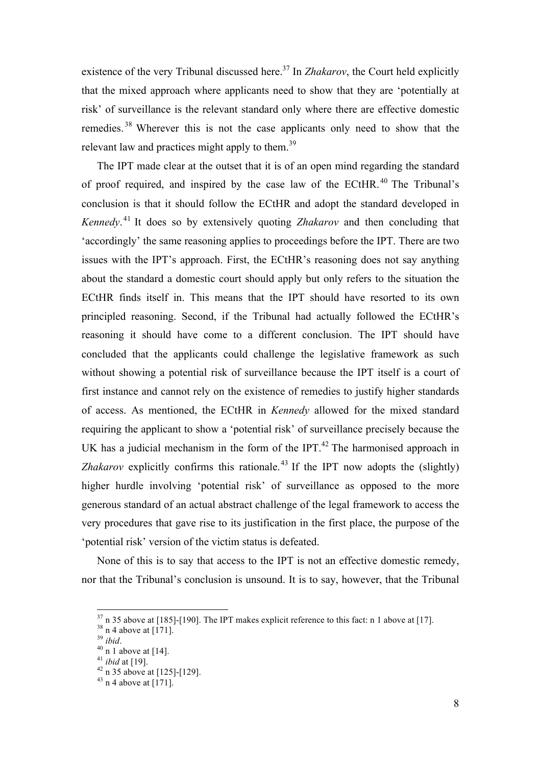existence of the very Tribunal discussed here.<sup>37</sup> In *Zhakarov*, the Court held explicitly that the mixed approach where applicants need to show that they are 'potentially at risk' of surveillance is the relevant standard only where there are effective domestic remedies.<sup>38</sup> Wherever this is not the case applicants only need to show that the relevant law and practices might apply to them.<sup>39</sup>

The IPT made clear at the outset that it is of an open mind regarding the standard of proof required, and inspired by the case law of the ECtHR.<sup>40</sup> The Tribunal's conclusion is that it should follow the ECtHR and adopt the standard developed in *Kennedy*. <sup>41</sup> It does so by extensively quoting *Zhakarov* and then concluding that 'accordingly' the same reasoning applies to proceedings before the IPT. There are two issues with the IPT's approach. First, the ECtHR's reasoning does not say anything about the standard a domestic court should apply but only refers to the situation the ECtHR finds itself in. This means that the IPT should have resorted to its own principled reasoning. Second, if the Tribunal had actually followed the ECtHR's reasoning it should have come to a different conclusion. The IPT should have concluded that the applicants could challenge the legislative framework as such without showing a potential risk of surveillance because the IPT itself is a court of first instance and cannot rely on the existence of remedies to justify higher standards of access. As mentioned, the ECtHR in *Kennedy* allowed for the mixed standard requiring the applicant to show a 'potential risk' of surveillance precisely because the UK has a judicial mechanism in the form of the IPT.<sup>42</sup> The harmonised approach in *Zhakarov* explicitly confirms this rationale.<sup>43</sup> If the IPT now adopts the (slightly) higher hurdle involving 'potential risk' of surveillance as opposed to the more generous standard of an actual abstract challenge of the legal framework to access the very procedures that gave rise to its justification in the first place, the purpose of the 'potential risk' version of the victim status is defeated.

None of this is to say that access to the IPT is not an effective domestic remedy, nor that the Tribunal's conclusion is unsound. It is to say, however, that the Tribunal

<sup>&</sup>lt;sup>37</sup> n 35 above at [185]-[190]. The IPT makes explicit reference to this fact: n 1 above at [17].<br><sup>38</sup> n 4 above at [171].<br><sup>39</sup> *ibid.*<br><sup>40</sup> n 1 above at [14].<br><sup>41</sup> *ibid* at [19].<br><sup>42</sup> n 35 above at [125]-[129].<br><sup>43</sup> n 4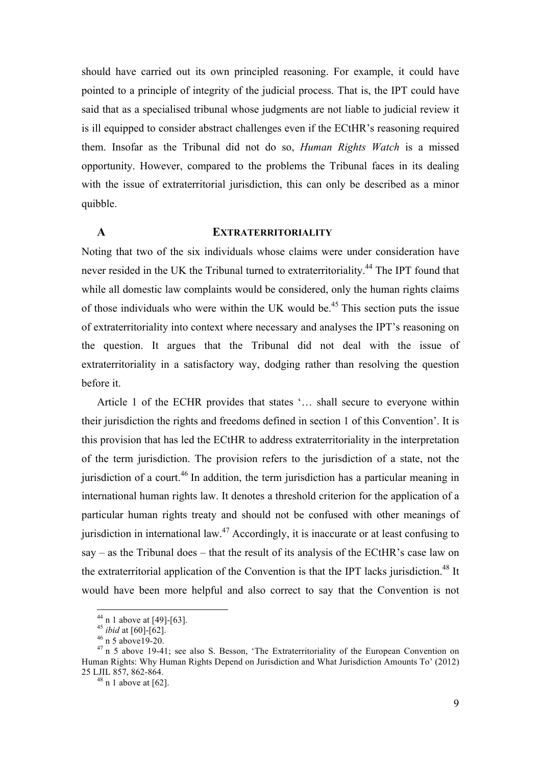should have carried out its own principled reasoning. For example, it could have pointed to a principle of integrity of the judicial process. That is, the IPT could have said that as a specialised tribunal whose judgments are not liable to judicial review it is ill equipped to consider abstract challenges even if the ECtHR's reasoning required them. Insofar as the Tribunal did not do so, *Human Rights Watch* is a missed opportunity. However, compared to the problems the Tribunal faces in its dealing with the issue of extraterritorial jurisdiction, this can only be described as a minor quibble.

## **A EXTRATERRITORIALITY**

Noting that two of the six individuals whose claims were under consideration have never resided in the UK the Tribunal turned to extraterritoriality.<sup>44</sup> The IPT found that while all domestic law complaints would be considered, only the human rights claims of those individuals who were within the UK would be.<sup>45</sup> This section puts the issue of extraterritoriality into context where necessary and analyses the IPT's reasoning on the question. It argues that the Tribunal did not deal with the issue of extraterritoriality in a satisfactory way, dodging rather than resolving the question before it.

Article 1 of the ECHR provides that states '… shall secure to everyone within their jurisdiction the rights and freedoms defined in section 1 of this Convention'. It is this provision that has led the ECtHR to address extraterritoriality in the interpretation of the term jurisdiction. The provision refers to the jurisdiction of a state, not the jurisdiction of a court.<sup>46</sup> In addition, the term jurisdiction has a particular meaning in international human rights law. It denotes a threshold criterion for the application of a particular human rights treaty and should not be confused with other meanings of jurisdiction in international law.<sup>47</sup> Accordingly, it is inaccurate or at least confusing to say – as the Tribunal does – that the result of its analysis of the ECtHR's case law on the extraterritorial application of the Convention is that the IPT lacks jurisdiction.<sup>48</sup> It would have been more helpful and also correct to say that the Convention is not

<sup>&</sup>lt;sup>44</sup> n 1 above at [49]-[63].<br><sup>45</sup> *ibid* at [60]-[62].<br><sup>46</sup> n 5 above 19-20.<br><sup>47</sup> n 5 above 19-41; see also S. Besson, 'The Extraterritoriality of the European Convention on Human Rights: Why Human Rights Depend on Jurisdiction and What Jurisdiction Amounts To' (2012)

 $48$  n 1 above at [62].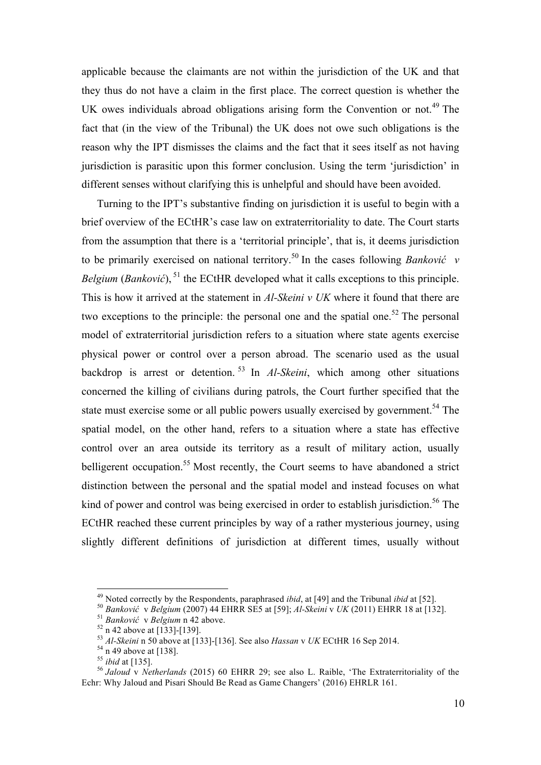applicable because the claimants are not within the jurisdiction of the UK and that they thus do not have a claim in the first place. The correct question is whether the UK owes individuals abroad obligations arising form the Convention or not.<sup>49</sup> The fact that (in the view of the Tribunal) the UK does not owe such obligations is the reason why the IPT dismisses the claims and the fact that it sees itself as not having jurisdiction is parasitic upon this former conclusion. Using the term 'jurisdiction' in different senses without clarifying this is unhelpful and should have been avoided.

Turning to the IPT's substantive finding on jurisdiction it is useful to begin with a brief overview of the ECtHR's case law on extraterritoriality to date. The Court starts from the assumption that there is a 'territorial principle', that is, it deems jurisdiction to be primarily exercised on national territory.<sup>50</sup> In the cases following *Banković v Belgium* (*Banković*), <sup>51</sup> the ECtHR developed what it calls exceptions to this principle. This is how it arrived at the statement in *Al-Skeini v UK* where it found that there are two exceptions to the principle: the personal one and the spatial one.<sup>52</sup> The personal model of extraterritorial jurisdiction refers to a situation where state agents exercise physical power or control over a person abroad. The scenario used as the usual backdrop is arrest or detention. <sup>53</sup> In *Al-Skeini*, which among other situations concerned the killing of civilians during patrols, the Court further specified that the state must exercise some or all public powers usually exercised by government.<sup>54</sup> The spatial model, on the other hand, refers to a situation where a state has effective control over an area outside its territory as a result of military action, usually belligerent occupation.<sup>55</sup> Most recently, the Court seems to have abandoned a strict distinction between the personal and the spatial model and instead focuses on what kind of power and control was being exercised in order to establish jurisdiction.<sup>56</sup> The ECtHR reached these current principles by way of a rather mysterious journey, using slightly different definitions of jurisdiction at different times, usually without

<sup>&</sup>lt;sup>49</sup> Noted correctly by the Respondents, paraphrased *ibid*, at [49] and the Tribunal *ibid* at [52].<br>
<sup>50</sup> Banković v Belgium (2007) 44 EHRR SE5 at [59]; Al-Skeini v UK (2011) EHRR 18 at [132].<br>
<sup>51</sup> Banković v Belgium n Echr: Why Jaloud and Pisari Should Be Read as Game Changers' (2016) EHRLR 161.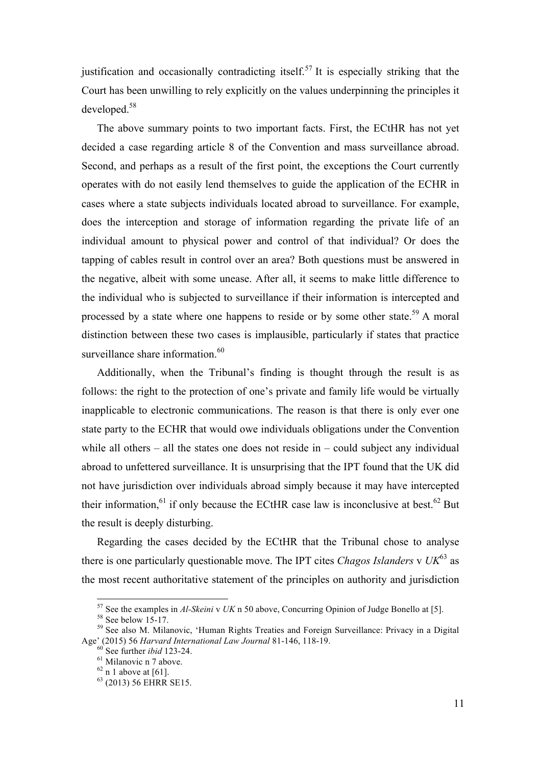justification and occasionally contradicting itself.<sup>57</sup> It is especially striking that the Court has been unwilling to rely explicitly on the values underpinning the principles it developed. 58

The above summary points to two important facts. First, the ECtHR has not yet decided a case regarding article 8 of the Convention and mass surveillance abroad. Second, and perhaps as a result of the first point, the exceptions the Court currently operates with do not easily lend themselves to guide the application of the ECHR in cases where a state subjects individuals located abroad to surveillance. For example, does the interception and storage of information regarding the private life of an individual amount to physical power and control of that individual? Or does the tapping of cables result in control over an area? Both questions must be answered in the negative, albeit with some unease. After all, it seems to make little difference to the individual who is subjected to surveillance if their information is intercepted and processed by a state where one happens to reside or by some other state.<sup>59</sup> A moral distinction between these two cases is implausible, particularly if states that practice surveillance share information.<sup>60</sup>

Additionally, when the Tribunal's finding is thought through the result is as follows: the right to the protection of one's private and family life would be virtually inapplicable to electronic communications. The reason is that there is only ever one state party to the ECHR that would owe individuals obligations under the Convention while all others – all the states one does not reside in – could subject any individual abroad to unfettered surveillance. It is unsurprising that the IPT found that the UK did not have jurisdiction over individuals abroad simply because it may have intercepted their information, $61$  if only because the ECtHR case law is inconclusive at best.<sup>62</sup> But the result is deeply disturbing.

Regarding the cases decided by the ECtHR that the Tribunal chose to analyse there is one particularly questionable move. The IPT cites *Chagos Islanders* v  $UK^{63}$  as the most recent authoritative statement of the principles on authority and jurisdiction

<sup>&</sup>lt;sup>57</sup> See the examples in *Al-Skeini* v *UK* n 50 above, Concurring Opinion of Judge Bonello at [5].<br><sup>58</sup> See below 15-17.<br><sup>59</sup> See also M. Milanovic, 'Human Rights Treaties and Foreign Surveillance: Privacy in a Digital Age' (2015) 56 *Harvard International Law Journal* 81-146, 118-19.<br><sup>60</sup> See further *ibid* 123-24.<br><sup>61</sup> Milanovic n 7 above.<br><sup>62</sup> n 1 above at [61].<br><sup>63</sup> (2013) 56 EHRR SE15.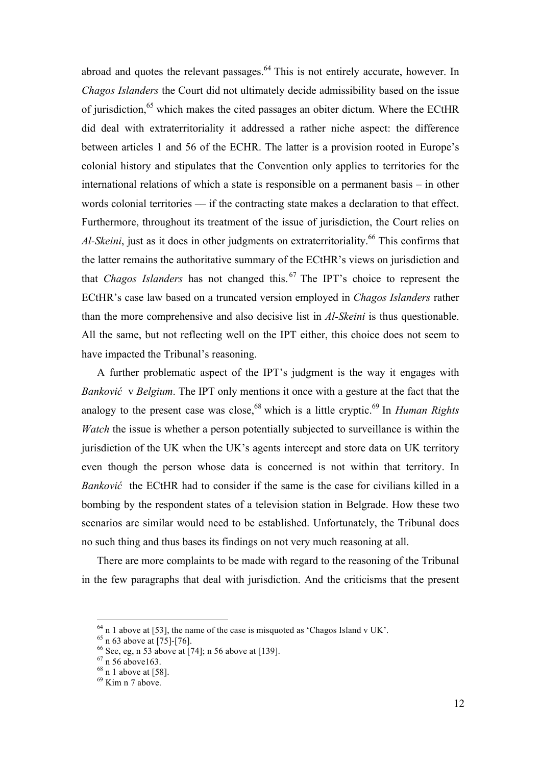abroad and quotes the relevant passages.<sup>64</sup> This is not entirely accurate, however. In *Chagos Islanders* the Court did not ultimately decide admissibility based on the issue of jurisdiction,<sup>65</sup> which makes the cited passages an obiter dictum. Where the ECtHR did deal with extraterritoriality it addressed a rather niche aspect: the difference between articles 1 and 56 of the ECHR. The latter is a provision rooted in Europe's colonial history and stipulates that the Convention only applies to territories for the international relations of which a state is responsible on a permanent basis – in other words colonial territories — if the contracting state makes a declaration to that effect. Furthermore, throughout its treatment of the issue of jurisdiction, the Court relies on *Al-Skeini*, just as it does in other judgments on extraterritoriality.<sup>66</sup> This confirms that the latter remains the authoritative summary of the ECtHR's views on jurisdiction and that *Chagos Islanders* has not changed this. <sup>67</sup> The IPT's choice to represent the ECtHR's case law based on a truncated version employed in *Chagos Islanders* rather than the more comprehensive and also decisive list in *Al-Skeini* is thus questionable. All the same, but not reflecting well on the IPT either, this choice does not seem to have impacted the Tribunal's reasoning.

A further problematic aspect of the IPT's judgment is the way it engages with *Banković* v *Belgium*. The IPT only mentions it once with a gesture at the fact that the analogy to the present case was close, <sup>68</sup> which is a little cryptic. <sup>69</sup> In *Human Rights Watch* the issue is whether a person potentially subjected to surveillance is within the jurisdiction of the UK when the UK's agents intercept and store data on UK territory even though the person whose data is concerned is not within that territory. In *Banković* the ECtHR had to consider if the same is the case for civilians killed in a bombing by the respondent states of a television station in Belgrade. How these two scenarios are similar would need to be established. Unfortunately, the Tribunal does no such thing and thus bases its findings on not very much reasoning at all.

There are more complaints to be made with regard to the reasoning of the Tribunal in the few paragraphs that deal with jurisdiction. And the criticisms that the present

<sup>&</sup>lt;sup>64</sup> n 1 above at [53], the name of the case is misquoted as 'Chagos Island v UK'.<br>
<sup>65</sup> n 63 above at [75]-[76].<br>
<sup>66</sup> See, eg, n 53 above at [74]; n 56 above at [139].<br>
<sup>67</sup> n 56 above163.<br>
<sup>68</sup> n 1 above at [58].<br>
<sup>69</sup>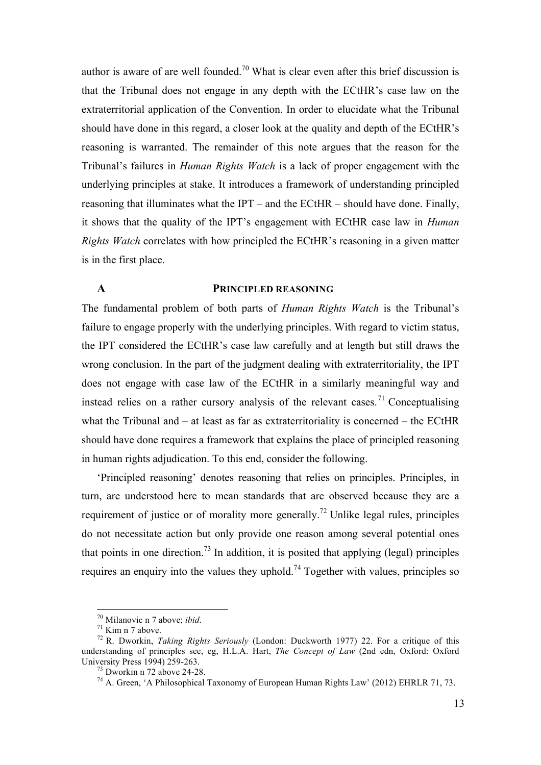author is aware of are well founded.<sup>70</sup> What is clear even after this brief discussion is that the Tribunal does not engage in any depth with the ECtHR's case law on the extraterritorial application of the Convention. In order to elucidate what the Tribunal should have done in this regard, a closer look at the quality and depth of the ECtHR's reasoning is warranted. The remainder of this note argues that the reason for the Tribunal's failures in *Human Rights Watch* is a lack of proper engagement with the underlying principles at stake. It introduces a framework of understanding principled reasoning that illuminates what the IPT – and the ECtHR – should have done. Finally, it shows that the quality of the IPT's engagement with ECtHR case law in *Human Rights Watch* correlates with how principled the ECtHR's reasoning in a given matter is in the first place.

## **A PRINCIPLED REASONING**

The fundamental problem of both parts of *Human Rights Watch* is the Tribunal's failure to engage properly with the underlying principles. With regard to victim status, the IPT considered the ECtHR's case law carefully and at length but still draws the wrong conclusion. In the part of the judgment dealing with extraterritoriality, the IPT does not engage with case law of the ECtHR in a similarly meaningful way and instead relies on a rather cursory analysis of the relevant cases.<sup>71</sup> Conceptualising what the Tribunal and – at least as far as extraterritoriality is concerned – the ECtHR should have done requires a framework that explains the place of principled reasoning in human rights adjudication. To this end, consider the following.

'Principled reasoning' denotes reasoning that relies on principles. Principles, in turn, are understood here to mean standards that are observed because they are a requirement of justice or of morality more generally.<sup>72</sup> Unlike legal rules, principles do not necessitate action but only provide one reason among several potential ones that points in one direction.<sup>73</sup> In addition, it is posited that applying (legal) principles requires an enquiry into the values they uphold.<sup>74</sup> Together with values, principles so

<sup>&</sup>lt;sup>70</sup> Milanovic n 7 above; *ibid. T*<sup>1</sup><br><sup>71</sup> Kim n 7 above.<br><sup>72</sup> R. Dworkin, *Taking Rights Seriously* (London: Duckworth 1977) 22. For a critique of this understanding of principles see, eg, H.L.A. Hart, *The Concept of Law* (2nd edn, Oxford: Oxford University Press 1994) 259-263.<br><sup>73</sup> Dworkin n 72 above 24-28.<br><sup>74</sup> A. Green, 'A Philosophical Taxonomy of European Human Rights Law' (2012) EHRLR 71, 73.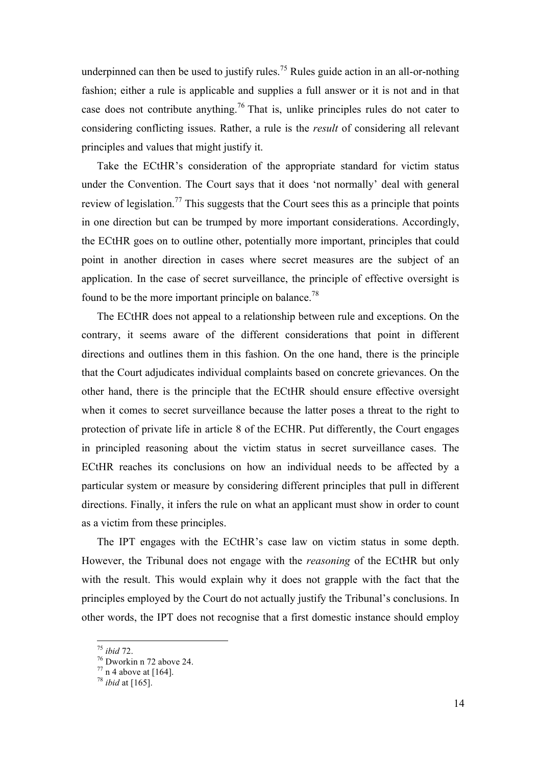underpinned can then be used to justify rules.<sup>75</sup> Rules guide action in an all-or-nothing fashion; either a rule is applicable and supplies a full answer or it is not and in that case does not contribute anything.<sup>76</sup> That is, unlike principles rules do not cater to considering conflicting issues. Rather, a rule is the *result* of considering all relevant principles and values that might justify it.

Take the ECtHR's consideration of the appropriate standard for victim status under the Convention. The Court says that it does 'not normally' deal with general review of legislation.<sup>77</sup> This suggests that the Court sees this as a principle that points in one direction but can be trumped by more important considerations. Accordingly, the ECtHR goes on to outline other, potentially more important, principles that could point in another direction in cases where secret measures are the subject of an application. In the case of secret surveillance, the principle of effective oversight is found to be the more important principle on balance.<sup>78</sup>

The ECtHR does not appeal to a relationship between rule and exceptions. On the contrary, it seems aware of the different considerations that point in different directions and outlines them in this fashion. On the one hand, there is the principle that the Court adjudicates individual complaints based on concrete grievances. On the other hand, there is the principle that the ECtHR should ensure effective oversight when it comes to secret surveillance because the latter poses a threat to the right to protection of private life in article 8 of the ECHR. Put differently, the Court engages in principled reasoning about the victim status in secret surveillance cases. The ECtHR reaches its conclusions on how an individual needs to be affected by a particular system or measure by considering different principles that pull in different directions. Finally, it infers the rule on what an applicant must show in order to count as a victim from these principles.

The IPT engages with the ECtHR's case law on victim status in some depth. However, the Tribunal does not engage with the *reasoning* of the ECtHR but only with the result. This would explain why it does not grapple with the fact that the principles employed by the Court do not actually justify the Tribunal's conclusions. In other words, the IPT does not recognise that a first domestic instance should employ

<sup>75</sup> *ibid* 72. <sup>76</sup> Dworkin n 72 above 24. <sup>77</sup> n 4 above at [164]. <sup>78</sup> *ibid* at [165].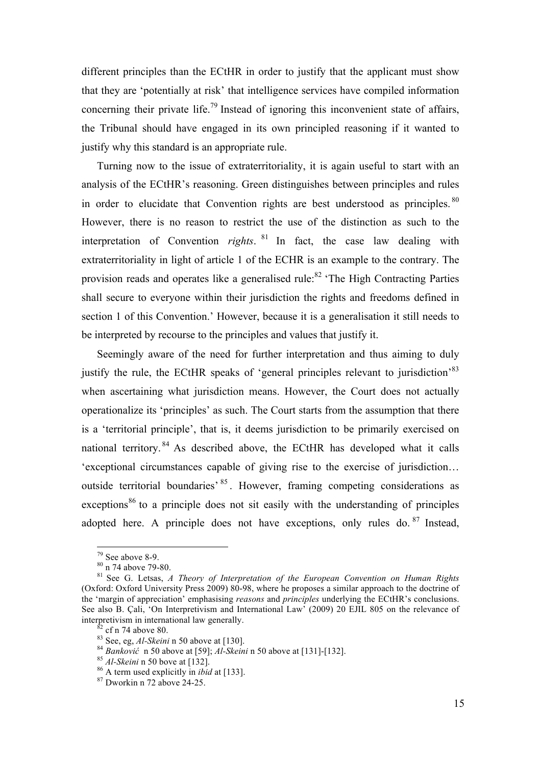different principles than the ECtHR in order to justify that the applicant must show that they are 'potentially at risk' that intelligence services have compiled information concerning their private life.<sup>79</sup> Instead of ignoring this inconvenient state of affairs, the Tribunal should have engaged in its own principled reasoning if it wanted to justify why this standard is an appropriate rule.

Turning now to the issue of extraterritoriality, it is again useful to start with an analysis of the ECtHR's reasoning. Green distinguishes between principles and rules in order to elucidate that Convention rights are best understood as principles. <sup>80</sup> However, there is no reason to restrict the use of the distinction as such to the interpretation of Convention *rights*. <sup>81</sup> In fact, the case law dealing with extraterritoriality in light of article 1 of the ECHR is an example to the contrary. The provision reads and operates like a generalised rule: $82 \text{°}$  The High Contracting Parties shall secure to everyone within their jurisdiction the rights and freedoms defined in section 1 of this Convention.' However, because it is a generalisation it still needs to be interpreted by recourse to the principles and values that justify it.

Seemingly aware of the need for further interpretation and thus aiming to duly justify the rule, the ECtHR speaks of 'general principles relevant to jurisdiction<sup>83</sup> when ascertaining what jurisdiction means. However, the Court does not actually operationalize its 'principles' as such. The Court starts from the assumption that there is a 'territorial principle', that is, it deems jurisdiction to be primarily exercised on national territory. <sup>84</sup> As described above, the ECtHR has developed what it calls 'exceptional circumstances capable of giving rise to the exercise of jurisdiction… outside territorial boundaries' <sup>85</sup> . However, framing competing considerations as exceptions<sup>86</sup> to a principle does not sit easily with the understanding of principles adopted here. A principle does not have exceptions, only rules do.  $87$  Instead,

<sup>&</sup>lt;sup>79</sup> See above 8-9.<br><sup>80</sup> n 74 above 79-80.<br><sup>81</sup> See G. Letsas, *A Theory of Interpretation of the European Convention on Human Rights* (Oxford: Oxford University Press 2009) 80-98, where he proposes a similar approach to the doctrine of the 'margin of appreciation' emphasising *reasons* and *principles* underlying the ECtHR's conclusions. See also B. Cali, 'On Interpretivism and International Law' (2009) 20 EJIL 805 on the relevance of interpretivism in international law generally.<br>
<sup>82</sup> cf n 74 above 80.<br>
<sup>83</sup> See, eg, *Al-Skeini* n 50 above at [130].<br>
<sup>84</sup> Banković n 50 above at [59]; *Al-Skeini* n 50 above at [131]-[132].<br>
<sup>85</sup> *Al-Skeini* n 50 bove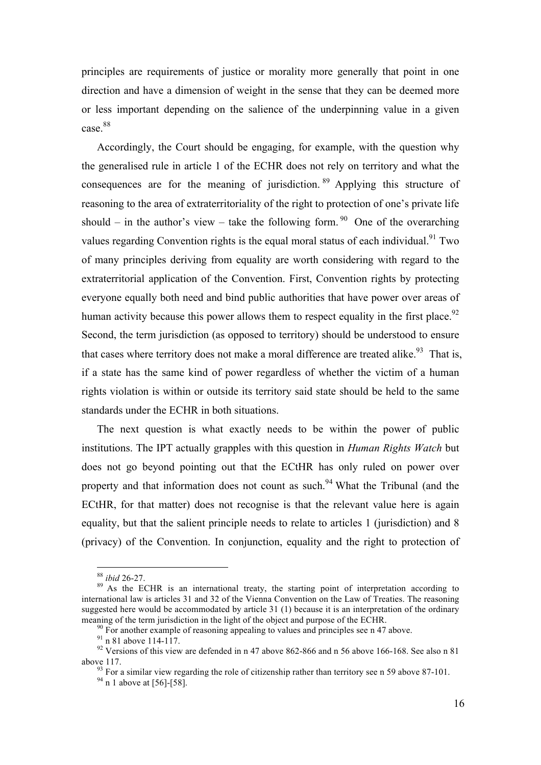principles are requirements of justice or morality more generally that point in one direction and have a dimension of weight in the sense that they can be deemed more or less important depending on the salience of the underpinning value in a given case.<sup>88</sup>

Accordingly, the Court should be engaging, for example, with the question why the generalised rule in article 1 of the ECHR does not rely on territory and what the consequences are for the meaning of jurisdiction. <sup>89</sup> Applying this structure of reasoning to the area of extraterritoriality of the right to protection of one's private life should – in the author's view – take the following form. <sup>90</sup> One of the overarching values regarding Convention rights is the equal moral status of each individual.<sup>91</sup> Two of many principles deriving from equality are worth considering with regard to the extraterritorial application of the Convention. First, Convention rights by protecting everyone equally both need and bind public authorities that have power over areas of human activity because this power allows them to respect equality in the first place.<sup>92</sup> Second, the term jurisdiction (as opposed to territory) should be understood to ensure that cases where territory does not make a moral difference are treated alike.<sup>93</sup> That is, if a state has the same kind of power regardless of whether the victim of a human rights violation is within or outside its territory said state should be held to the same standards under the ECHR in both situations.

The next question is what exactly needs to be within the power of public institutions. The IPT actually grapples with this question in *Human Rights Watch* but does not go beyond pointing out that the ECtHR has only ruled on power over property and that information does not count as such.<sup>94</sup> What the Tribunal (and the ECtHR, for that matter) does not recognise is that the relevant value here is again equality, but that the salient principle needs to relate to articles 1 (jurisdiction) and 8 (privacy) of the Convention. In conjunction, equality and the right to protection of

<sup>&</sup>lt;sup>88</sup> *ibid* 26-27.<br><sup>89</sup> As the ECHR is an international treaty, the starting point of interpretation according to international law is articles 31 and 32 of the Vienna Convention on the Law of Treaties. The reasoning suggested here would be accommodated by article 31 (1) because it is an interpretation of the ordinary

meaning of the term jurisdiction in the light of the object and purpose of the ECHR.<br><sup>90</sup> For another example of reasoning appealing to values and principles see n 47 above.<br><sup>91</sup> n 81 above 114-117.<br><sup>92</sup> Versions of this above 117. <sup>93</sup> For a similar view regarding the role of citizenship rather than territory see n 59 above 87-101. <sup>94</sup> n 1 above at [56]-[58].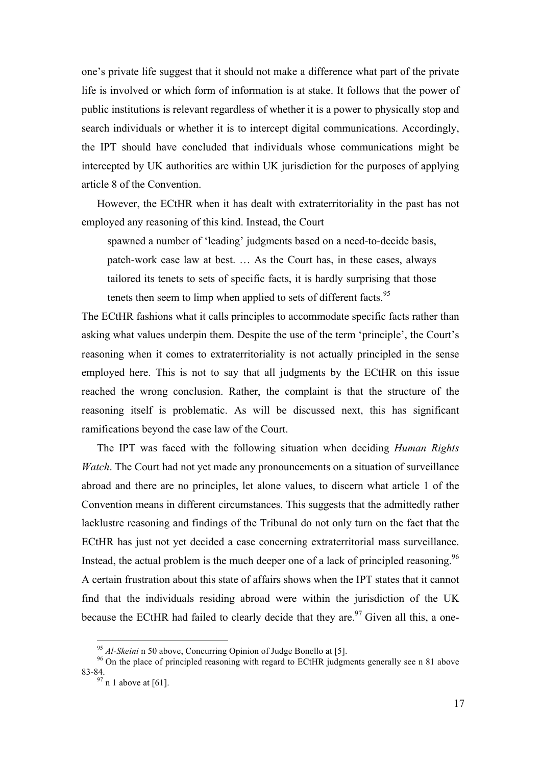one's private life suggest that it should not make a difference what part of the private life is involved or which form of information is at stake. It follows that the power of public institutions is relevant regardless of whether it is a power to physically stop and search individuals or whether it is to intercept digital communications. Accordingly, the IPT should have concluded that individuals whose communications might be intercepted by UK authorities are within UK jurisdiction for the purposes of applying article 8 of the Convention.

However, the ECtHR when it has dealt with extraterritoriality in the past has not employed any reasoning of this kind. Instead, the Court

spawned a number of 'leading' judgments based on a need-to-decide basis, patch-work case law at best. … As the Court has, in these cases, always tailored its tenets to sets of specific facts, it is hardly surprising that those tenets then seem to limp when applied to sets of different facts.<sup>95</sup>

The ECtHR fashions what it calls principles to accommodate specific facts rather than asking what values underpin them. Despite the use of the term 'principle', the Court's reasoning when it comes to extraterritoriality is not actually principled in the sense employed here. This is not to say that all judgments by the ECtHR on this issue reached the wrong conclusion. Rather, the complaint is that the structure of the reasoning itself is problematic. As will be discussed next, this has significant ramifications beyond the case law of the Court.

The IPT was faced with the following situation when deciding *Human Rights Watch*. The Court had not yet made any pronouncements on a situation of surveillance abroad and there are no principles, let alone values, to discern what article 1 of the Convention means in different circumstances. This suggests that the admittedly rather lacklustre reasoning and findings of the Tribunal do not only turn on the fact that the ECtHR has just not yet decided a case concerning extraterritorial mass surveillance. Instead, the actual problem is the much deeper one of a lack of principled reasoning.<sup>96</sup> A certain frustration about this state of affairs shows when the IPT states that it cannot find that the individuals residing abroad were within the jurisdiction of the UK because the ECtHR had failed to clearly decide that they are.<sup>97</sup> Given all this, a one-

<sup>&</sup>lt;sup>95</sup> *Al-Skeini* n 50 above, Concurring Opinion of Judge Bonello at [5].<br><sup>96</sup> On the place of principled reasoning with regard to ECtHR judgments generally see n 81 above 83-84.

 $97$  n 1 above at [61].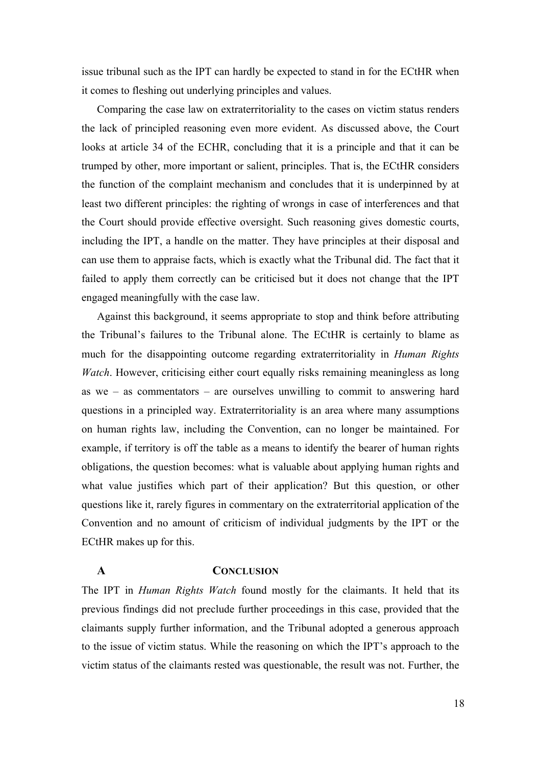issue tribunal such as the IPT can hardly be expected to stand in for the ECtHR when it comes to fleshing out underlying principles and values.

Comparing the case law on extraterritoriality to the cases on victim status renders the lack of principled reasoning even more evident. As discussed above, the Court looks at article 34 of the ECHR, concluding that it is a principle and that it can be trumped by other, more important or salient, principles. That is, the ECtHR considers the function of the complaint mechanism and concludes that it is underpinned by at least two different principles: the righting of wrongs in case of interferences and that the Court should provide effective oversight. Such reasoning gives domestic courts, including the IPT, a handle on the matter. They have principles at their disposal and can use them to appraise facts, which is exactly what the Tribunal did. The fact that it failed to apply them correctly can be criticised but it does not change that the IPT engaged meaningfully with the case law.

Against this background, it seems appropriate to stop and think before attributing the Tribunal's failures to the Tribunal alone. The ECtHR is certainly to blame as much for the disappointing outcome regarding extraterritoriality in *Human Rights Watch*. However, criticising either court equally risks remaining meaningless as long as we – as commentators – are ourselves unwilling to commit to answering hard questions in a principled way. Extraterritoriality is an area where many assumptions on human rights law, including the Convention, can no longer be maintained. For example, if territory is off the table as a means to identify the bearer of human rights obligations, the question becomes: what is valuable about applying human rights and what value justifies which part of their application? But this question, or other questions like it, rarely figures in commentary on the extraterritorial application of the Convention and no amount of criticism of individual judgments by the IPT or the ECtHR makes up for this.

### **A CONCLUSION**

The IPT in *Human Rights Watch* found mostly for the claimants. It held that its previous findings did not preclude further proceedings in this case, provided that the claimants supply further information, and the Tribunal adopted a generous approach to the issue of victim status. While the reasoning on which the IPT's approach to the victim status of the claimants rested was questionable, the result was not. Further, the